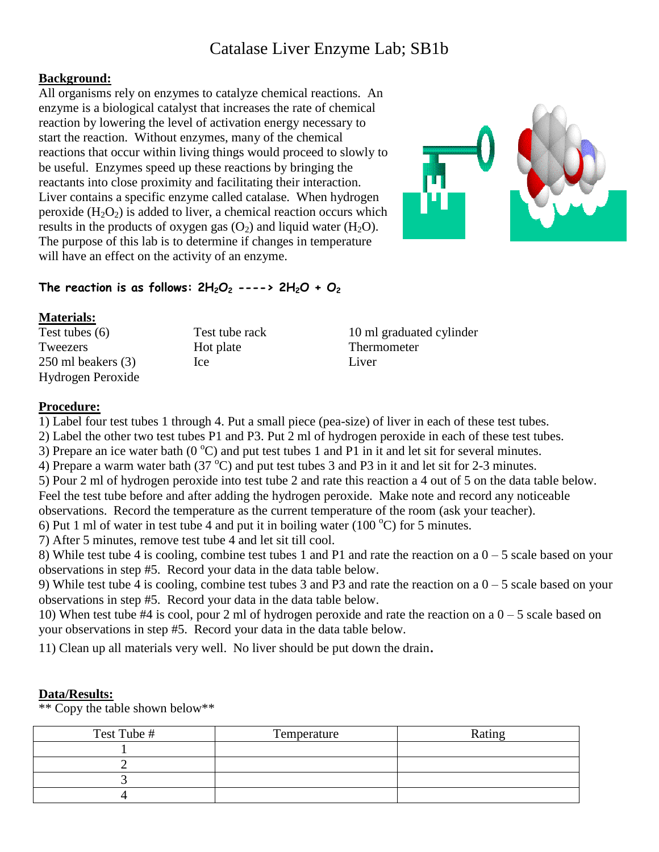# Catalase Liver Enzyme Lab; SB1b

## **Background:**

All organisms rely on enzymes to catalyze chemical reactions. An enzyme is a biological catalyst that increases the rate of chemical reaction by lowering the level of activation energy necessary to start the reaction. Without enzymes, many of the chemical reactions that occur within living things would proceed to slowly to be useful. Enzymes speed up these reactions by bringing the reactants into close proximity and facilitating their interaction. Liver contains a specific enzyme called catalase. When hydrogen peroxide  $(H_2O_2)$  is added to liver, a chemical reaction occurs which results in the products of oxygen gas  $(O<sub>2</sub>)$  and liquid water  $(H<sub>2</sub>O)$ . The purpose of this lab is to determine if changes in temperature will have an effect on the activity of an enzyme.



# The reaction is as follows:  $2H_2O_2$  ---->  $2H_2O + O_2$

#### **Materials:**

| Test tubes $(6)$       | Test tube rack | 10 ml graduated cylinder |
|------------------------|----------------|--------------------------|
| Tweezers               | Hot plate      | Thermometer              |
| $250$ ml beakers $(3)$ | <sub>lce</sub> | Liver                    |
| Hydrogen Peroxide      |                |                          |

## **Procedure:**

1) Label four test tubes 1 through 4. Put a small piece (pea-size) of liver in each of these test tubes.

2) Label the other two test tubes P1 and P3. Put 2 ml of hydrogen peroxide in each of these test tubes.

3) Prepare an ice water bath ( $0^{\circ}$ C) and put test tubes 1 and P1 in it and let sit for several minutes.

4) Prepare a warm water bath (37 $^{\circ}$ C) and put test tubes 3 and P3 in it and let sit for 2-3 minutes.

5) Pour 2 ml of hydrogen peroxide into test tube 2 and rate this reaction a 4 out of 5 on the data table below.

Feel the test tube before and after adding the hydrogen peroxide. Make note and record any noticeable

observations. Record the temperature as the current temperature of the room (ask your teacher).

6) Put 1 ml of water in test tube 4 and put it in boiling water (100  $^{\circ}$ C) for 5 minutes.

7) After 5 minutes, remove test tube 4 and let sit till cool.

8) While test tube 4 is cooling, combine test tubes 1 and P1 and rate the reaction on a  $0 - 5$  scale based on your observations in step #5. Record your data in the data table below.

9) While test tube 4 is cooling, combine test tubes 3 and P3 and rate the reaction on a  $0 - 5$  scale based on your observations in step #5. Record your data in the data table below.

10) When test tube #4 is cool, pour 2 ml of hydrogen peroxide and rate the reaction on a 0 – 5 scale based on your observations in step #5. Record your data in the data table below.

11) Clean up all materials very well. No liver should be put down the drain.

## **Data/Results:**

\*\* Copy the table shown below\*\*

| Test Tube # | Temperature | Rating |
|-------------|-------------|--------|
|             |             |        |
|             |             |        |
|             |             |        |
|             |             |        |